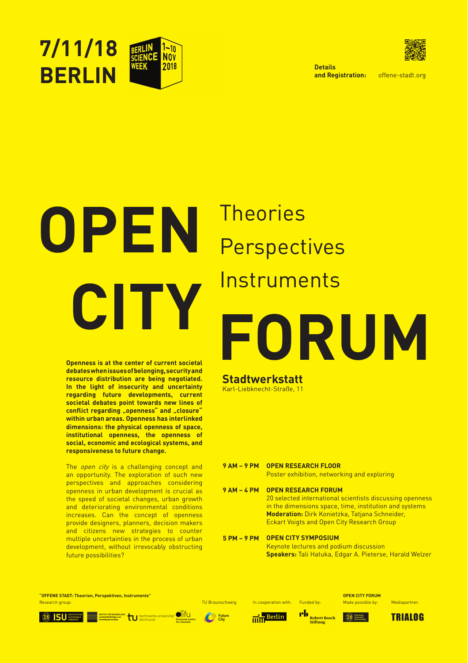

offene-stadt.org







# **CITY FORUM** Instruments

**Openness is at the center of current societal debates when issues of belonging, security and resource distribution are being negotiated. In the light of insecurity and uncertainty regarding future developments, current societal debates point towards new lines of**  conflict regarding "openness" and "closure" **within urban areas. Openness has interlinked dimensions: the physical openness of space, institutional openness, the openness of social, economic and ecological systems, and responsiveness to future change.**

The open city is a challenging concept and an opportunity. The exploration of such new perspectives and approaches considering openness in urban development is crucial as the speed of societal changes, urban growth and deteriorating environmental conditions increases. Can the concept of openness provide designers, planners, decision makers and citizens new strategies to counter multiple uncertainties in the process of urban development, without irrevocably obstructing future possibilities?

**Details and Registration:**

# **9 AM – 9 PM OPEN RESEARCH FLOOR**

## **Stadtwerkstatt** Karl-Liebknecht-Straße, 11

### **9 AM – 4 PM OPEN RESEARCH FORUM**

Poster exhibition, networking and exploring

#### **5 PM – 9 PM OPEN CITY SYMPOSIUM**

20 selected international scientists discussing openness in the dimensions space, time, institution and systems **Moderation:** Dirk Konietzka, Tatjana Schneider, Eckart Voigts and Open City Research Group

Keynote lectures and podium discussion **Speakers:** Tali Hatuka, Edgar A. Pieterse, Harald Welzer